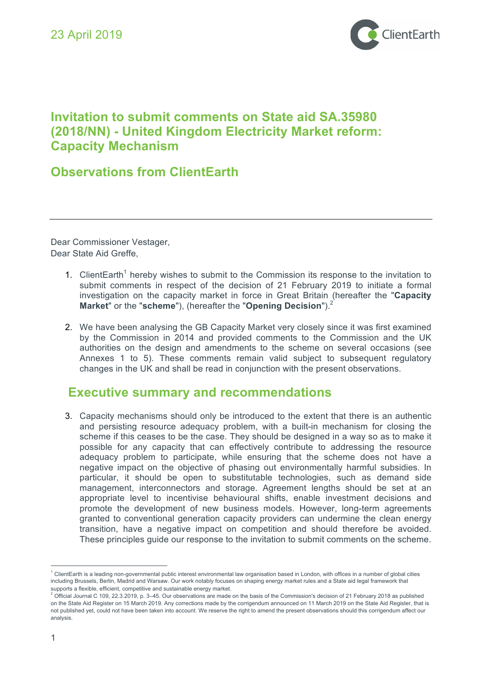

# **Invitation to submit comments on State aid SA.35980 (2018/NN) - United Kingdom Electricity Market reform: Capacity Mechanism**

# **Observations from ClientEarth**

Dear Commissioner Vestager, Dear State Aid Greffe,

- 1. ClientEarth<sup>1</sup> hereby wishes to submit to the Commission its response to the invitation to submit comments in respect of the decision of 21 February 2019 to initiate a formal investigation on the capacity market in force in Great Britain (hereafter the "**Capacity Market**" or the "**scheme**"), (hereafter the "**Opening Decision**").2
- 2. We have been analysing the GB Capacity Market very closely since it was first examined by the Commission in 2014 and provided comments to the Commission and the UK authorities on the design and amendments to the scheme on several occasions (see Annexes 1 to 5). These comments remain valid subject to subsequent regulatory changes in the UK and shall be read in conjunction with the present observations.

# **Executive summary and recommendations**

3. Capacity mechanisms should only be introduced to the extent that there is an authentic and persisting resource adequacy problem, with a built-in mechanism for closing the scheme if this ceases to be the case. They should be designed in a way so as to make it possible for any capacity that can effectively contribute to addressing the resource adequacy problem to participate, while ensuring that the scheme does not have a negative impact on the objective of phasing out environmentally harmful subsidies. In particular, it should be open to substitutable technologies, such as demand side management, interconnectors and storage. Agreement lengths should be set at an appropriate level to incentivise behavioural shifts, enable investment decisions and promote the development of new business models. However, long-term agreements granted to conventional generation capacity providers can undermine the clean energy transition, have a negative impact on competition and should therefore be avoided. These principles guide our response to the invitation to submit comments on the scheme.

 $^1$  ClientEarth is a leading non-governmental public interest environmental law organisation based in London, with offices in a number of global cities including Brussels, Berlin, Madrid and Warsaw. Our work notably focuses on shaping energy market rules and a State aid legal framework that supports a flexible, efficient, competitive and sustainable energy market.

<sup>2</sup> Official Journal C 109, 22.3.2019, p. 3–45*.* Our observations are made on the basis of the Commission's decision of 21 February 2018 as published on the State Aid Register on 15 March 2019. Any corrections made by the corrigendum announced on 11 March 2019 on the State Aid Register, that is not published yet, could not have been taken into account. We reserve the right to amend the present observations should this corrigendum affect our analysis.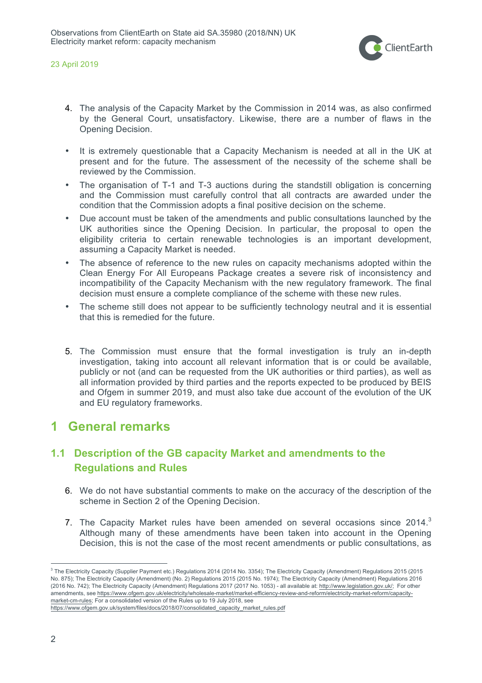

- 4. The analysis of the Capacity Market by the Commission in 2014 was, as also confirmed by the General Court, unsatisfactory. Likewise, there are a number of flaws in the Opening Decision.
- It is extremely questionable that a Capacity Mechanism is needed at all in the UK at present and for the future. The assessment of the necessity of the scheme shall be reviewed by the Commission.
- The organisation of T-1 and T-3 auctions during the standstill obligation is concerning and the Commission must carefully control that all contracts are awarded under the condition that the Commission adopts a final positive decision on the scheme.
- Due account must be taken of the amendments and public consultations launched by the UK authorities since the Opening Decision. In particular, the proposal to open the eligibility criteria to certain renewable technologies is an important development, assuming a Capacity Market is needed.
- The absence of reference to the new rules on capacity mechanisms adopted within the Clean Energy For All Europeans Package creates a severe risk of inconsistency and incompatibility of the Capacity Mechanism with the new regulatory framework. The final decision must ensure a complete compliance of the scheme with these new rules.
- The scheme still does not appear to be sufficiently technology neutral and it is essential that this is remedied for the future.
- 5. The Commission must ensure that the formal investigation is truly an in-depth investigation, taking into account all relevant information that is or could be available, publicly or not (and can be requested from the UK authorities or third parties), as well as all information provided by third parties and the reports expected to be produced by BEIS and Ofgem in summer 2019, and must also take due account of the evolution of the UK and EU regulatory frameworks.

# **1 General remarks**

# **1.1 Description of the GB capacity Market and amendments to the Regulations and Rules**

- 6. We do not have substantial comments to make on the accuracy of the description of the scheme in Section 2 of the Opening Decision.
- 7. The Capacity Market rules have been amended on several occasions since  $2014<sup>3</sup>$ Although many of these amendments have been taken into account in the Opening Decision, this is not the case of the most recent amendments or public consultations, as

<sup>&</sup>lt;sup>3</sup> The Electricity Capacity (Supplier Payment etc.) Regulations 2014 (2014 No. 3354); The Electricity Capacity (Amendment) Regulations 2015 (2015 No. 875); The Electricity Capacity (Amendment) (No. 2) Regulations 2015 (2015 No. 1974); The Electricity Capacity (Amendment) Regulations 2016 (2016 No. 742); The Electricity Capacity (Amendment) Regulations 2017 (2017 No. 1053) - all available at: http://www.legislation.gov.uk/; For other amendments, see https://www.ofgem.gov.uk/electricity/wholesale-market/market-efficiency-review-and-reform/electricity-market-reform/capacitymarket-cm-rules; For a consolidated version of the Rules up to 19 July 2018, see

https://www.ofgem.gov.uk/system/files/docs/2018/07/consolidated\_capacity\_market\_rules.pdf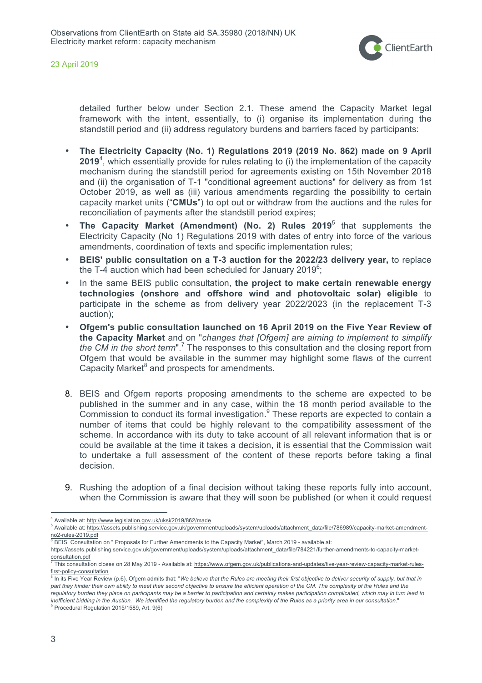

detailed further below under Section 2.1. These amend the Capacity Market legal framework with the intent, essentially, to (i) organise its implementation during the standstill period and (ii) address regulatory burdens and barriers faced by participants:

- **The Electricity Capacity (No. 1) Regulations 2019 (2019 No. 862) made on 9 April 2019**<sup>4</sup> , which essentially provide for rules relating to (i) the implementation of the capacity mechanism during the standstill period for agreements existing on 15th November 2018 and (ii) the organisation of T-1 "conditional agreement auctions" for delivery as from 1st October 2019, as well as (iii) various amendments regarding the possibility to certain capacity market units ("**CMUs**") to opt out or withdraw from the auctions and the rules for reconciliation of payments after the standstill period expires;
- **The Capacity Market (Amendment) (No. 2) Rules 2019**<sup>5</sup> that supplements the Electricity Capacity (No 1) Regulations 2019 with dates of entry into force of the various amendments, coordination of texts and specific implementation rules;
- **BEIS' public consultation on a T-3 auction for the 2022/23 delivery year,** to replace the T-4 auction which had been scheduled for January 2019<sup>6</sup>;
- In the same BEIS public consultation, **the project to make certain renewable energy technologies (onshore and offshore wind and photovoltaic solar) eligible** to participate in the scheme as from delivery year 2022/2023 (in the replacement T-3 auction);
- **Ofgem's public consultation launched on 16 April 2019 on the Five Year Review of the Capacity Market** and on "*changes that [Ofgem] are aiming to implement to simplify the CM in the short term*".<sup>7</sup> The responses to this consultation and the closing report from Ofgem that would be available in the summer may highlight some flaws of the current Capacity Market<sup>8</sup> and prospects for amendments.
- 8. BEIS and Ofgem reports proposing amendments to the scheme are expected to be published in the summer and in any case, within the 18 month period available to the Commission to conduct its formal investigation. $9$  These reports are expected to contain a number of items that could be highly relevant to the compatibility assessment of the scheme. In accordance with its duty to take account of all relevant information that is or could be available at the time it takes a decision, it is essential that the Commission wait to undertake a full assessment of the content of these reports before taking a final decision.
- 9. Rushing the adoption of a final decision without taking these reports fully into account, when the Commission is aware that they will soon be published (or when it could request

<sup>9</sup> Procedural Regulation 2015/1589, Art. 9(6)

 <sup>4</sup> Available at: http://www.legislation.gov.uk/uksi/2019/862/made

<sup>5</sup> Available at: https://assets.publishing.service.gov.uk/government/uploads/system/uploads/attachment\_data/file/786989/capacity-market-amendmentno2-rules-2019.pdf

<sup>6</sup> BEIS, Consultation on " Proposals for Further Amendments to the Capacity Market", March 2019 - available at:

https://assets.publishing.service.gov.uk/government/uploads/system/uploads/attachment\_data/file/784221/further-amendments-to-capacity-market-

consultation.pdf <sup>7</sup> This consultation closes on 28 May 2019 - Available at: https://www.ofgem.gov.uk/publications-and-updates/five-year-review-capacity-market-rulesfirst-policy-consultation

<sup>8</sup> In its Five Year Review (p.6), Ofgem admits that: "*We believe that the Rules are meeting their first objective to deliver security of supply, but that in part they hinder their own ability to meet their second objective to ensure the efficient operation of the CM. The complexity of the Rules and the regulatory burden they place on participants may be a barrier to participation and certainly makes participation complicated, which may in turn lead to inefficient bidding in the Auction. We identified the regulatory burden and the complexity of the Rules as a priority area in our consultation*."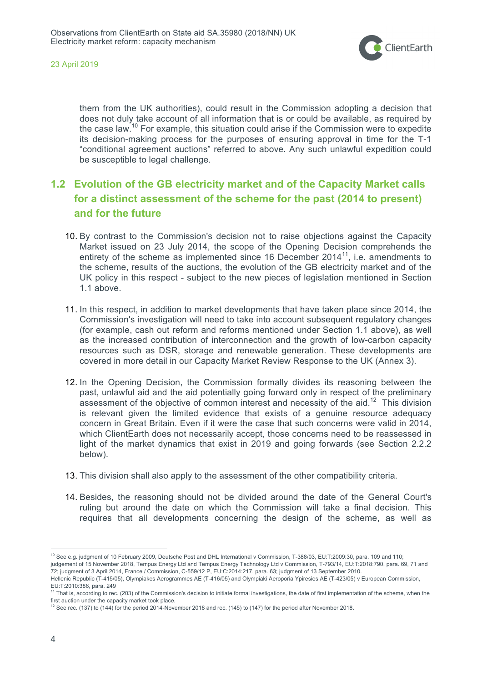

them from the UK authorities), could result in the Commission adopting a decision that does not duly take account of all information that is or could be available, as required by the case law.<sup>10</sup> For example, this situation could arise if the Commission were to expedite its decision-making process for the purposes of ensuring approval in time for the T-1 "conditional agreement auctions" referred to above. Any such unlawful expedition could be susceptible to legal challenge.

# **1.2 Evolution of the GB electricity market and of the Capacity Market calls for a distinct assessment of the scheme for the past (2014 to present) and for the future**

- 10. By contrast to the Commission's decision not to raise objections against the Capacity Market issued on 23 July 2014, the scope of the Opening Decision comprehends the entirety of the scheme as implemented since 16 December 2014 $^{11}$ , i.e. amendments to the scheme, results of the auctions, the evolution of the GB electricity market and of the UK policy in this respect - subject to the new pieces of legislation mentioned in Section 1.1 above.
- 11. In this respect, in addition to market developments that have taken place since 2014, the Commission's investigation will need to take into account subsequent regulatory changes (for example, cash out reform and reforms mentioned under Section 1.1 above), as well as the increased contribution of interconnection and the growth of low-carbon capacity resources such as DSR, storage and renewable generation. These developments are covered in more detail in our Capacity Market Review Response to the UK (Annex 3).
- 12. In the Opening Decision, the Commission formally divides its reasoning between the past, unlawful aid and the aid potentially going forward only in respect of the preliminary assessment of the objective of common interest and necessity of the aid.<sup>12</sup> This division is relevant given the limited evidence that exists of a genuine resource adequacy concern in Great Britain. Even if it were the case that such concerns were valid in 2014, which ClientEarth does not necessarily accept, those concerns need to be reassessed in light of the market dynamics that exist in 2019 and going forwards (see Section 2.2.2 below).
- 13. This division shall also apply to the assessment of the other compatibility criteria.
- 14. Besides, the reasoning should not be divided around the date of the General Court's ruling but around the date on which the Commission will take a final decision. This requires that all developments concerning the design of the scheme, as well as

<sup>&</sup>lt;sup>10</sup> See e.g. judgment of 10 February 2009, Deutsche Post and DHL International v Commission, T-388/03, EU:T:2009:30, para. 109 and 110;

judgement of 15 November 2018, Tempus Energy Ltd and Tempus Energy Technology Ltd v Commission, T-793/14, EU:T:2018:790, para. 69, 71 and 72; judgment of 3 April 2014, France / Commission, C-559/12 P, EU:C:2014:217, para. 63; judgment of 13 September 2010.

Hellenic Republic (T-415/05), Olympiakes Aerogrammes AE (T-416/05) and Olympiaki Aeroporia Ypiresies AE (T-423/05) v European Commission, EU:T:2010:386, para. 249

<sup>&</sup>lt;sup>1</sup> That is, according to rec. (203) of the Commission's decision to initiate formal investigations, the date of first implementation of the scheme, when the first auction under the capacity market took place.

 $12$  See rec. (137) to (144) for the period 2014-November 2018 and rec. (145) to (147) for the period after November 2018.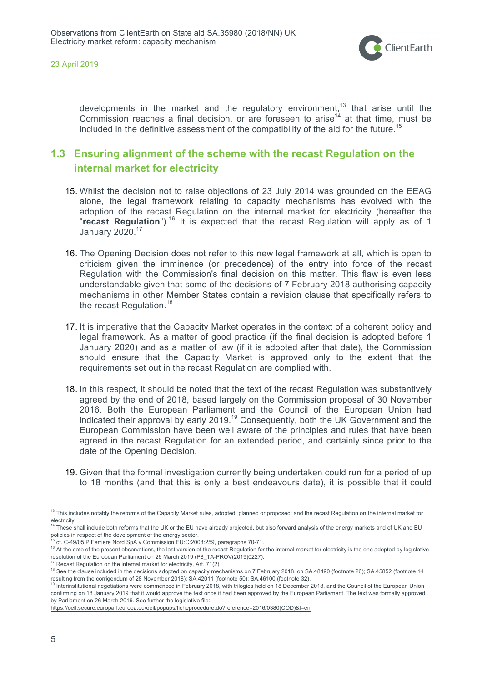

developments in the market and the regulatory environment,<sup>13</sup> that arise until the corresponsive in the mainer and the regarding environment, that ance and the Commission reaches a final decision, or are foreseen to arise<sup>14</sup> at that time, must be included in the definitive assessment of the compatibility of the aid for the future.<sup>15</sup>

## **1.3 Ensuring alignment of the scheme with the recast Regulation on the internal market for electricity**

- 15. Whilst the decision not to raise objections of 23 July 2014 was grounded on the EEAG alone, the legal framework relating to capacity mechanisms has evolved with the adoption of the recast Regulation on the internal market for electricity (hereafter the "recast Regulation").<sup>16</sup> It is expected that the recast Regulation will apply as of 1 January 2020. 17
- 16. The Opening Decision does not refer to this new legal framework at all, which is open to criticism given the imminence (or precedence) of the entry into force of the recast Regulation with the Commission's final decision on this matter. This flaw is even less understandable given that some of the decisions of 7 February 2018 authorising capacity mechanisms in other Member States contain a revision clause that specifically refers to the recast Regulation.<sup>18</sup>
- 17. It is imperative that the Capacity Market operates in the context of a coherent policy and legal framework. As a matter of good practice (if the final decision is adopted before 1 January 2020) and as a matter of law (if it is adopted after that date), the Commission should ensure that the Capacity Market is approved only to the extent that the requirements set out in the recast Regulation are complied with.
- 18. In this respect, it should be noted that the text of the recast Regulation was substantively agreed by the end of 2018, based largely on the Commission proposal of 30 November 2016. Both the European Parliament and the Council of the European Union had indicated their approval by early 2019.<sup>19</sup> Consequently, both the UK Government and the European Commission have been well aware of the principles and rules that have been agreed in the recast Regulation for an extended period, and certainly since prior to the date of the Opening Decision.
- 19. Given that the formal investigation currently being undertaken could run for a period of up to 18 months (and that this is only a best endeavours date), it is possible that it could

<sup>&</sup>lt;sup>13</sup> This includes notably the reforms of the Capacity Market rules, adopted, planned or proposed; and the recast Regulation on the internal market for electricity.

<sup>&</sup>lt;sup>4</sup> These shall include both reforms that the UK or the EU have already projected, but also forward analysis of the energy markets and of UK and EU policies in respect of the development of the energy sector.

<sup>15</sup> cf. C-49/05 P Ferriere Nord SpA v Commission EU:C:2008:259, paragraphs 70-71.

<sup>&</sup>lt;sup>16</sup> At the date of the present observations, the last version of the recast Regulation for the internal market for electricity is the one adopted by legislative resolution of the European Parliament on 26 March 2019 (P8\_TA-PROV(2019)0227).<br><sup>17</sup> Recast Regulation on the internal market for electricity, Art. 71(2)

<sup>&</sup>lt;sup>18</sup> See the clause included in the decisions adopted on capacity mechanisms on 7 February 2018, on SA.48490 (footnote 26); SA.45852 (footnote 14 resulting from the corrigendum of 28 November 2018); SA.42011 (footnote 50); SA.46100 (footnote 32).

<sup>&</sup>lt;sup>19</sup> Interinstitutional negotiations were commenced in February 2018, with trilogies held on 18 December 2018, and the Council of the European Union confirming on 18 January 2019 that it would approve the text once it had been approved by the European Parliament. The text was formally approved by Parliament on 26 March 2019. See further the legislative file:

https://oeil.secure.europarl.europa.eu/oeil/popups/ficheprocedure.do?reference=2016/0380(COD)&l=en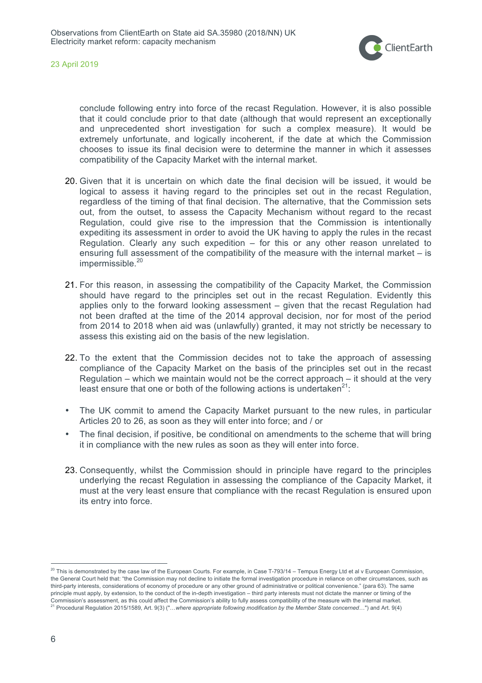

conclude following entry into force of the recast Regulation. However, it is also possible that it could conclude prior to that date (although that would represent an exceptionally and unprecedented short investigation for such a complex measure). It would be extremely unfortunate, and logically incoherent, if the date at which the Commission chooses to issue its final decision were to determine the manner in which it assesses compatibility of the Capacity Market with the internal market.

- 20. Given that it is uncertain on which date the final decision will be issued, it would be logical to assess it having regard to the principles set out in the recast Regulation, regardless of the timing of that final decision. The alternative, that the Commission sets out, from the outset, to assess the Capacity Mechanism without regard to the recast Regulation, could give rise to the impression that the Commission is intentionally expediting its assessment in order to avoid the UK having to apply the rules in the recast Regulation. Clearly any such expedition  $-$  for this or any other reason unrelated to ensuring full assessment of the compatibility of the measure with the internal market – is impermissible.<sup>20</sup>
- 21. For this reason, in assessing the compatibility of the Capacity Market, the Commission should have regard to the principles set out in the recast Regulation. Evidently this applies only to the forward looking assessment – given that the recast Regulation had not been drafted at the time of the 2014 approval decision, nor for most of the period from 2014 to 2018 when aid was (unlawfully) granted, it may not strictly be necessary to assess this existing aid on the basis of the new legislation.
- 22. To the extent that the Commission decides not to take the approach of assessing compliance of the Capacity Market on the basis of the principles set out in the recast Regulation – which we maintain would not be the correct approach – it should at the very least ensure that one or both of the following actions is undertaken $21$ :
- The UK commit to amend the Capacity Market pursuant to the new rules, in particular Articles 20 to 26, as soon as they will enter into force; and / or
- The final decision, if positive, be conditional on amendments to the scheme that will bring it in compliance with the new rules as soon as they will enter into force.
- 23. Consequently, whilst the Commission should in principle have regard to the principles underlying the recast Regulation in assessing the compliance of the Capacity Market, it must at the very least ensure that compliance with the recast Regulation is ensured upon its entry into force.

 $^{20}$  This is demonstrated by the case law of the European Courts. For example, in Case T-793/14 – Tempus Energy Ltd et al v European Commission, the General Court held that: "the Commission may not decline to initiate the formal investigation procedure in reliance on other circumstances, such as third-party interests, considerations of economy of procedure or any other ground of administrative or political convenience." (para 63). The same principle must apply, by extension, to the conduct of the in-depth investigation – third party interests must not dictate the manner or timing of the Commission's assessment, as this could affect the Commission's ability to fully assess compatibility of the measure with the internal market. <sup>21</sup> Procedural Regulation 2015/1589, Art. 9(3) ("…*where appropriate following modification by the Member State concerned*…") and Art. 9(4)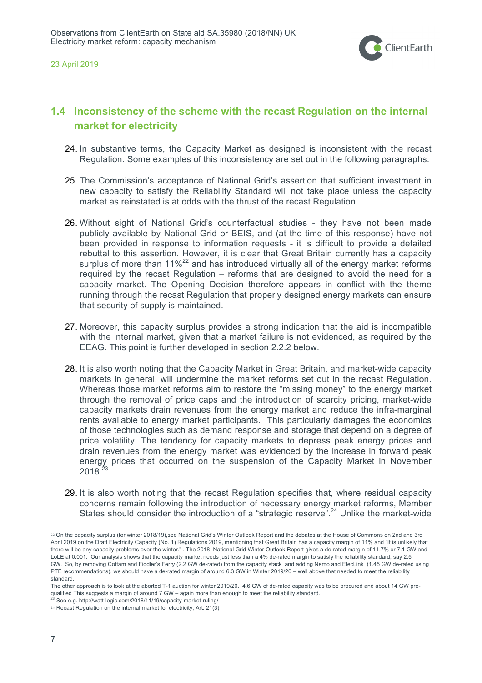

## **1.4 Inconsistency of the scheme with the recast Regulation on the internal market for electricity**

- 24. In substantive terms, the Capacity Market as designed is inconsistent with the recast Regulation. Some examples of this inconsistency are set out in the following paragraphs.
- 25. The Commission's acceptance of National Grid's assertion that sufficient investment in new capacity to satisfy the Reliability Standard will not take place unless the capacity market as reinstated is at odds with the thrust of the recast Regulation.
- 26. Without sight of National Grid's counterfactual studies they have not been made publicly available by National Grid or BEIS, and (at the time of this response) have not been provided in response to information requests - it is difficult to provide a detailed rebuttal to this assertion. However, it is clear that Great Britain currently has a capacity surplus of more than  $11\%^{22}$  and has introduced virtually all of the energy market reforms required by the recast Regulation – reforms that are designed to avoid the need for a capacity market. The Opening Decision therefore appears in conflict with the theme running through the recast Regulation that properly designed energy markets can ensure that security of supply is maintained.
- 27. Moreover, this capacity surplus provides a strong indication that the aid is incompatible with the internal market, given that a market failure is not evidenced, as required by the EEAG. This point is further developed in section 2.2.2 below.
- 28. It is also worth noting that the Capacity Market in Great Britain, and market-wide capacity markets in general, will undermine the market reforms set out in the recast Regulation. Whereas those market reforms aim to restore the "missing money" to the energy market through the removal of price caps and the introduction of scarcity pricing, market-wide capacity markets drain revenues from the energy market and reduce the infra-marginal rents available to energy market participants. This particularly damages the economics of those technologies such as demand response and storage that depend on a degree of price volatility. The tendency for capacity markets to depress peak energy prices and drain revenues from the energy market was evidenced by the increase in forward peak energy prices that occurred on the suspension of the Capacity Market in November  $2018^{23}$
- 29. It is also worth noting that the recast Regulation specifies that, where residual capacity concerns remain following the introduction of necessary energy market reforms, Member States should consider the introduction of a "strategic reserve".24 Unlike the market-wide

 $\overline{a}$ 

<sup>22</sup> On the capacity surplus (for winter 2018/19),see National Grid's Winter Outlook Report and the debates at the House of Commons on 2nd and 3rd April 2019 on the Draft Electricity Capacity (No. 1) Regulations 2019, mentioning that Great Britain has a capacity margin of 11% and "It is unlikely that there will be any capacity problems over the winter." . The 2018 National Grid Winter Outlook Report gives a de-rated margin of 11.7% or 7.1 GW and LoLE at 0.001. Our analysis shows that the capacity market needs just less than a 4% de-rated margin to satisfy the reliability standard, say 2.5 GW. So, by removing Cottam and Fiddler's Ferry (2.2 GW de-rated) from the capacity stack and adding Nemo and ElecLink (1.45 GW de-rated using PTE recommendations), we should have a de-rated margin of around 6.3 GW in Winter 2019/20 – well above that needed to meet the reliability standard.

The other approach is to look at the aborted T-1 auction for winter 2019/20. 4.6 GW of de-rated capacity was to be procured and about 14 GW prequalified This suggests a margin of around 7 GW – again more than enough to meet the reliability standard.<br><sup>23</sup> See e.g. http://watt-logic.com/2018/11/19/capacity-market-ruling/

<sup>24</sup> Recast Regulation on the internal market for electricity, Art. 21(3)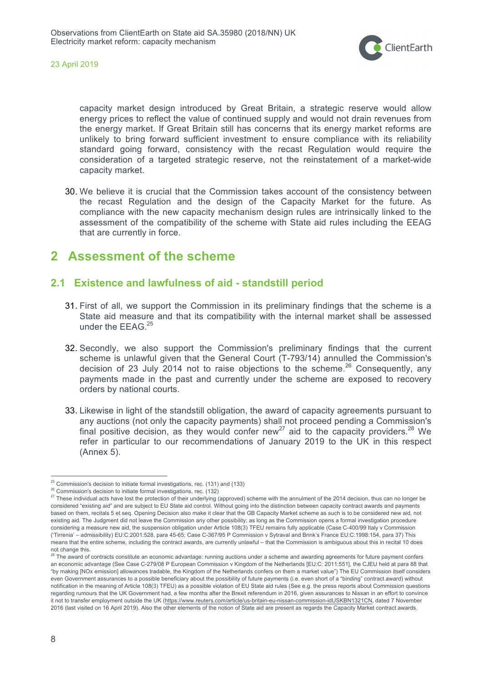

capacity market design introduced by Great Britain, a strategic reserve would allow energy prices to reflect the value of continued supply and would not drain revenues from the energy market. If Great Britain still has concerns that its energy market reforms are unlikely to bring forward sufficient investment to ensure compliance with its reliability standard going forward, consistency with the recast Regulation would require the consideration of a targeted strategic reserve, not the reinstatement of a market-wide capacity market.

30. We believe it is crucial that the Commission takes account of the consistency between the recast Regulation and the design of the Capacity Market for the future. As compliance with the new capacity mechanism design rules are intrinsically linked to the assessment of the compatibility of the scheme with State aid rules including the EEAG that are currently in force.

# **2 Assessment of the scheme**

## **2.1 Existence and lawfulness of aid - standstill period**

- 31. First of all, we support the Commission in its preliminary findings that the scheme is a State aid measure and that its compatibility with the internal market shall be assessed under the EEAG.<sup>25</sup>
- 32. Secondly, we also support the Commission's preliminary findings that the current scheme is unlawful given that the General Court (T-793/14) annulled the Commission's decision of 23 July 2014 not to raise objections to the scheme.<sup>26</sup> Consequently, any payments made in the past and currently under the scheme are exposed to recovery orders by national courts.
- 33. Likewise in light of the standstill obligation, the award of capacity agreements pursuant to any auctions (not only the capacity payments) shall not proceed pending a Commission's final positive decision, as they would confer new<sup>27</sup> aid to the capacity providers.<sup>28</sup> We refer in particular to our recommendations of January 2019 to the UK in this respect (Annex 5).

 $25$  Commission's decision to initiate formal investigations, rec. (131) and (133)

<sup>26</sup> Commission's decision to initiate formal investigations, rec. (132)

<sup>&</sup>lt;sup>27</sup> These individual acts have lost the protection of their underlying (approved) scheme with the annulment of the 2014 decision, thus can no longer be considered "existing aid" and are subject to EU State aid control. Without going into the distinction between capacity contract awards and payments based on them, recitals 5 et seq. Opening Decision also make it clear that the GB Capacity Market scheme as such is to be considered new aid, not existing aid. The Judgment did not leave the Commission any other possibility; as long as the Commission opens a formal investigation procedure considering a measure new aid, the suspension obligation under Article 108(3) TFEU remains fully applicable (Case C-400/99 Italy v Commission ('Tirrenia' – admissibility) EU:C:2001:528, para 45-65; Case C-367/95 P Commission v Sytraval and Brink's France EU:C:1998:154, para 37) This means that the entire scheme, including the contract awards, are currently unlawful – that the Commission is ambiguous about this in recital 10 does not change this.

<sup>&</sup>lt;sup>28</sup> The award of contracts constitute an economic advantage: running auctions under a scheme and awarding agreements for future payment confers an economic advantage (See Case C-279/08 P European Commission v Kingdom of the Netherlands [EU:C: 2011:551], the CJEU held at para 88 that "by making [NOx emission] allowances tradable, the Kingdom of the Netherlands confers on them a market value") The EU Commission itself considers even Government assurances to a possible beneficiary about the possibility of future payments (i.e. even short of a "binding" contract award) without notification in the meaning of Article 108(3) TFEU) as a possible violation of EU State aid rules (See e.g. the press reports about Commission questions regarding rumours that the UK Government had, a few months after the Brexit referendum in 2016, given assurances to Nissan in an effort to convince it not to transfer employment outside the UK (https://www.reuters.com/article/us-britain-eu-nissan-commission-idUSKBN1321CN, dated 7 November 2016 (last visited on 16 April 2019). Also the other elements of the notion of State aid are present as regards the Capacity Market contract awards.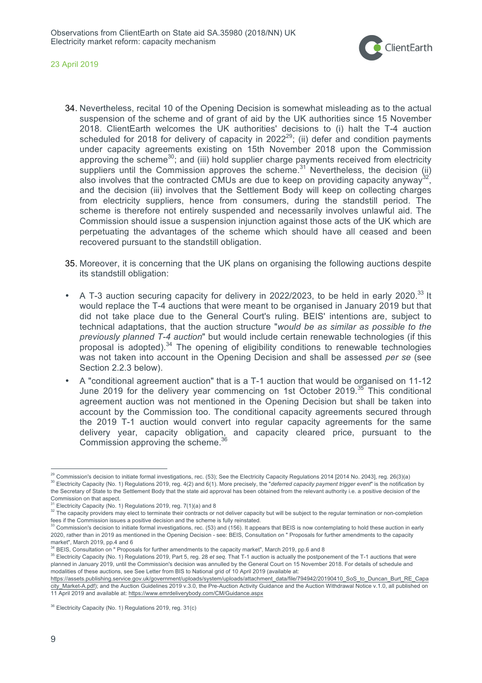

- 34. Nevertheless, recital 10 of the Opening Decision is somewhat misleading as to the actual suspension of the scheme and of grant of aid by the UK authorities since 15 November 2018. ClientEarth welcomes the UK authorities' decisions to (i) halt the T-4 auction scheduled for 2018 for delivery of capacity in 2022<sup>29</sup>; (ii) defer and condition payments under capacity agreements existing on 15th November 2018 upon the Commission approving the scheme<sup>30</sup>; and (iii) hold supplier charge payments received from electricity suppliers until the Commission approves the scheme.<sup>31</sup> Nevertheless, the decision (ii) also involves that the contracted CMUs are due to keep on providing capacity anyway<sup>3</sup> and the decision (iii) involves that the Settlement Body will keep on collecting charges from electricity suppliers, hence from consumers, during the standstill period. The scheme is therefore not entirely suspended and necessarily involves unlawful aid. The Commission should issue a suspension injunction against those acts of the UK which are perpetuating the advantages of the scheme which should have all ceased and been recovered pursuant to the standstill obligation.
- 35. Moreover, it is concerning that the UK plans on organising the following auctions despite its standstill obligation:
- A T-3 auction securing capacity for delivery in 2022/2023, to be held in early 2020.<sup>33</sup> It would replace the T-4 auctions that were meant to be organised in January 2019 but that did not take place due to the General Court's ruling. BEIS' intentions are, subject to technical adaptations, that the auction structure "*would be as similar as possible to the previously planned T-4 auction*" but would include certain renewable technologies (if this proposal is adopted).<sup>34</sup> The opening of eligibility conditions to renewable technologies was not taken into account in the Opening Decision and shall be assessed *per se* (see Section 2.2.3 below).
- A "conditional agreement auction" that is a T-1 auction that would be organised on 11-12 June 2019 for the delivery year commencing on 1st October 2019.<sup>35</sup> This conditional agreement auction was not mentioned in the Opening Decision but shall be taken into account by the Commission too. The conditional capacity agreements secured through the 2019 T-1 auction would convert into regular capacity agreements for the same delivery year, capacity obligation, and capacity cleared price, pursuant to the Commission approving the scheme.<sup>3</sup>

<sup>&</sup>lt;sup>29</sup> Commission's decision to initiate formal investigations, rec. (53); See the Electricity Capacity Regulations 2014 [2014 No. 2043], reg. 26(3)(a) <sup>30</sup> Electricity Capacity (No. 1) Regulations 2019, reg. 4(2) and 6(1). More precisely, the "*deferred capacity payment trigger event*" is the notification by the Secretary of State to the Settlement Body that the state aid approval has been obtained from the relevant authority i.e. a positive decision of the Commission on that aspect.

Electricity Capacity (No. 1) Regulations 2019, reg. 7(1)(a) and 8

<sup>&</sup>lt;sup>32</sup> The capacity providers may elect to terminate their contracts or not deliver capacity but will be subject to the regular termination or non-completion fees if the Commission issues a positive decision and the scheme is fully reinstated.

<sup>&</sup>lt;sup>33</sup> Commission's decision to initiate formal investigations, rec. (53) and (156). It appears that BEIS is now contemplating to hold these auction in early 2020, rather than in 2019 as mentioned in the Opening Decision - see: BEIS, Consultation on " Proposals for further amendments to the capacity market", March 2019, pp.4 and 6

 $^{34}$  BEIS, Consultation on " Proposals for further amendments to the capacity market", March 2019, pp.6 and 8<br><sup>35</sup> Electricity Capacity (No. 1) Regulations 2019, Part 5, reg. 28 *et seq*. That T-1 auction is actually th planned in January 2019, until the Commission's decision was annulled by the General Court on 15 November 2018. For details of schedule and modalities of these auctions, see See Letter from BIS to National grid of 10 April 2019 (available at:

https://assets.publishing.service.gov.uk/government/uploads/system/uploads/attachment\_data/file/794942/20190410\_SoS\_to\_Duncan\_Burt\_RE\_Capa city\_Market-A.pdf); and the Auction Guidelines 2019 v.3.0, the Pre-Auction Activity Guidance and the Auction Withdrawal Notice v.1.0, all published on 11 April 2019 and available at: https://www.emrdeliverybody.com/CM/Guidance.aspx

<sup>&</sup>lt;sup>36</sup> Electricity Capacity (No. 1) Regulations 2019, reg. 31(c)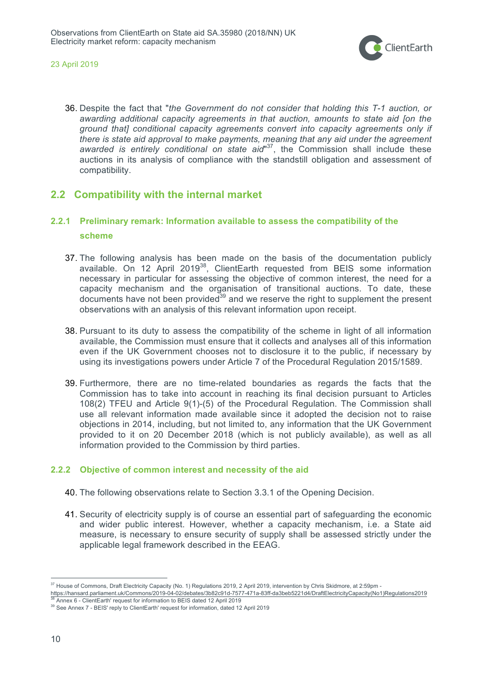

36. Despite the fact that "*the Government do not consider that holding this T-1 auction, or awarding additional capacity agreements in that auction, amounts to state aid [on the ground that] conditional capacity agreements convert into capacity agreements only if there is state aid approval to make payments, meaning that any aid under the agreement awarded is entirely conditional on state aid*" 37, the Commission shall include these auctions in its analysis of compliance with the standstill obligation and assessment of compatibility.

## **2.2 Compatibility with the internal market**

## **2.2.1 Preliminary remark: Information available to assess the compatibility of the scheme**

- 37. The following analysis has been made on the basis of the documentation publicly available. On 12 April 2019<sup>38</sup>, ClientEarth requested from BEIS some information necessary in particular for assessing the objective of common interest, the need for a capacity mechanism and the organisation of transitional auctions. To date, these documents have not been provided<sup>39</sup> and we reserve the right to supplement the present observations with an analysis of this relevant information upon receipt.
- 38. Pursuant to its duty to assess the compatibility of the scheme in light of all information available, the Commission must ensure that it collects and analyses all of this information even if the UK Government chooses not to disclosure it to the public, if necessary by using its investigations powers under Article 7 of the Procedural Regulation 2015/1589.
- 39. Furthermore, there are no time-related boundaries as regards the facts that the Commission has to take into account in reaching its final decision pursuant to Articles 108(2) TFEU and Article 9(1)-(5) of the Procedural Regulation. The Commission shall use all relevant information made available since it adopted the decision not to raise objections in 2014, including, but not limited to, any information that the UK Government provided to it on 20 December 2018 (which is not publicly available), as well as all information provided to the Commission by third parties.

## **2.2.2 Objective of common interest and necessity of the aid**

- 40. The following observations relate to Section 3.3.1 of the Opening Decision.
- 41. Security of electricity supply is of course an essential part of safeguarding the economic and wider public interest. However, whether a capacity mechanism, i.e. a State aid measure, is necessary to ensure security of supply shall be assessed strictly under the applicable legal framework described in the EEAG.

<sup>&</sup>lt;sup>37</sup> House of Commons, Draft Electricity Capacity (No. 1) Regulations 2019, 2 April 2019, intervention by Chris Skidmore, at 2:59pm -

https://hansard.parliament.uk/Commons/2019-04-02/debates/3b82c91d-7577-471a-83ff-da3beb5221d4/DraftElectricityCapacity(No1)Regulations2019

<sup>38</sup> Annex 6 - ClientEarth' request for information to BEIS dated 12 April 2019

<sup>39</sup> See Annex 7 - BEIS' reply to ClientEarth' request for information, dated 12 April 2019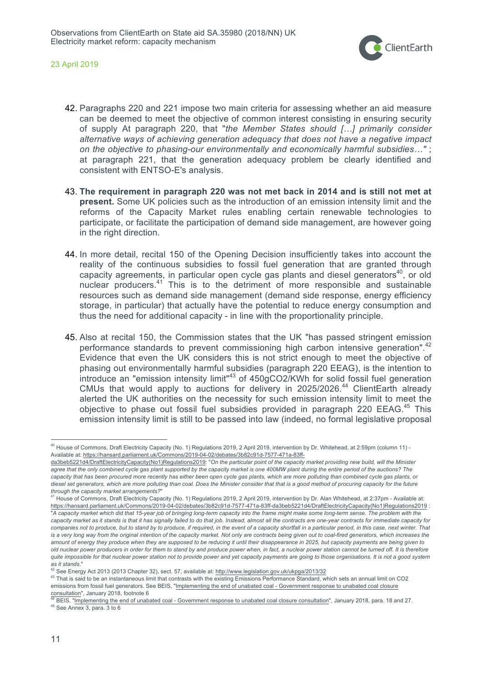

- 42. Paragraphs 220 and 221 impose two main criteria for assessing whether an aid measure can be deemed to meet the objective of common interest consisting in ensuring security of supply At paragraph 220, that "*the Member States should […] primarily consider alternative ways of achieving generation adequacy that does not have a negative impact on the objective to phasing-our environmentally and economically harmful subsidies…"* ; at paragraph 221, that the generation adequacy problem be clearly identified and consistent with ENTSO-E's analysis.
- 43. **The requirement in paragraph 220 was not met back in 2014 and is still not met at present.** Some UK policies such as the introduction of an emission intensity limit and the reforms of the Capacity Market rules enabling certain renewable technologies to participate, or facilitate the participation of demand side management, are however going in the right direction.
- 44. In more detail, recital 150 of the Opening Decision insufficiently takes into account the reality of the continuous subsidies to fossil fuel generation that are granted through capacity agreements, in particular open cycle gas plants and diesel generators<sup>40</sup>, or old nuclear producers. <sup>41</sup> This is to the detriment of more responsible and sustainable resources such as demand side management (demand side response, energy efficiency storage, in particular) that actually have the potential to reduce energy consumption and thus the need for additional capacity - in line with the proportionality principle.
- 45. Also at recital 150, the Commission states that the UK "has passed stringent emission performance standards to prevent commissioning high carbon intensive generation".<sup>42</sup> Evidence that even the UK considers this is not strict enough to meet the objective of phasing out environmentally harmful subsidies (paragraph 220 EEAG), is the intention to introduce an "emission intensity limit"<sup>43</sup> of 450gCO2/KWh for solid fossil fuel generation CMUs that would apply to auctions for delivery in 2025/2026.<sup>44</sup> ClientEarth already alerted the UK authorities on the necessity for such emission intensity limit to meet the objective to phase out fossil fuel subsidies provided in paragraph 220 EEAG.<sup>45</sup> This emission intensity limit is still to be passed into law (indeed, no formal legislative proposal

<sup>&</sup>lt;sup>40</sup> House of Commons, Draft Electricity Capacity (No. 1) Regulations 2019, 2 April 2019, intervention by Dr. Whitehead, at 2:59pm (column 11) -Available at: https://hansard.parliament.uk/Commons/2019-04-02/debates/3b82c91d-7577-471a-83ff-

da3beb5221d4/DraftElectricityCapacity(No1)Regulations2019: "*On the particular point of the capacity market providing new build, will the Minister agree that the only combined cycle gas plant supported by the capacity market is one 400MW plant during the entire period of the auctions? The capacity that has been procured more recently has either been open cycle gas plants, which are more polluting than combined cycle gas plants, or diesel set generators, which are more polluting than coal. Does the Minister consider that that is a good method of procuring capacity for the future through the capacity market arrangements?*"

<sup>&</sup>lt;sup>41</sup> House of Commons, Draft Electricity Capacity (No. 1) Regulations 2019, 2 April 2019, intervention by Dr. Alan Whitehead, at 2:37pm - Available at: https://hansard.parliament.uk/Commons/2019-04-02/debates/3b82c91d-7577-471a-83ff-da3beb5221d4/DraftElectricityCapacity(No1)Regulations2019 : "A capacity market which did that 15-year job of bringing long-term capacity into the frame might make some long-term sense. The problem with the *capacity market as it stands is that it has signally failed to do that job. Instead, almost all the contracts are one-year contracts for immediate capacity for companies not to produce, but to stand by to produce, if required, in the event of a capacity shortfall in a particular period, in this case, next winter. That is a very long way from the original intention of the capacity market. Not only are contracts being given out to coal-fired generators, which increases the amount of energy they produce when they are supposed to be reducing it until their disappearance in 2025, but capacity payments are being given to old nuclear power producers in order for them to stand by and produce power when, in fact, a nuclear power station cannot be turned off. It is therefore quite impossible for that nuclear power station not to provide power and yet capacity payments are going to those organisations. It is not a good system as it stands*."

 $42$  See Energy Act 2013 (2013 Chapter 32), sect. 57, available at: http://www.legislation.gov.uk/ukpga/2013/32

<sup>43</sup> That is said to be an instantaneous limit that contrasts with the existing Emissions Performance Standard, which sets an annual limit on CO2 emissions from fossil fuel generators. See BEIS, "Implementing the end of unabated coal - Government response to unabated coal closure consultation", January 2018, footnote 6

 $44$  BEIS, "Implementing the end of unabated coal - Government response to unabated coal closure consultation", January 2018, para. 18 and 27.  $45$  See Annex 3, para. 3 to 6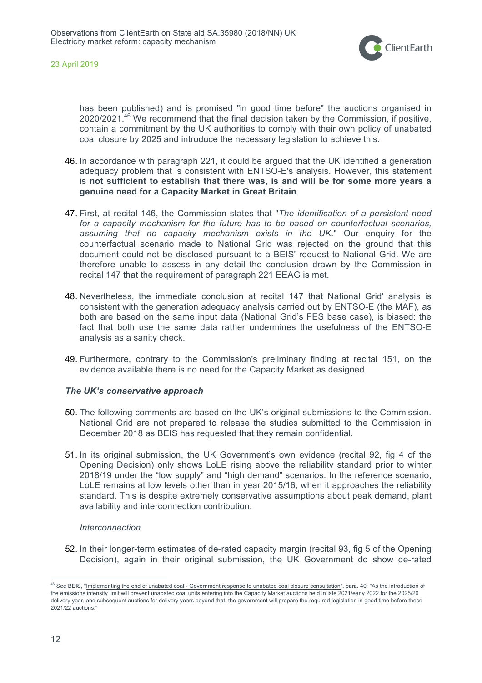

has been published) and is promised "in good time before" the auctions organised in 2020/2021.<sup>46</sup> We recommend that the final decision taken by the Commission, if positive, contain a commitment by the UK authorities to comply with their own policy of unabated coal closure by 2025 and introduce the necessary legislation to achieve this.

- 46. In accordance with paragraph 221, it could be argued that the UK identified a generation adequacy problem that is consistent with ENTSO-E's analysis. However, this statement is **not sufficient to establish that there was, is and will be for some more years a genuine need for a Capacity Market in Great Britain**.
- 47. First, at recital 146, the Commission states that "*The identification of a persistent need*  for a capacity mechanism for the future has to be based on counterfactual scenarios, *assuming that no capacity mechanism exists in the UK*." Our enquiry for the counterfactual scenario made to National Grid was rejected on the ground that this document could not be disclosed pursuant to a BEIS' request to National Grid. We are therefore unable to assess in any detail the conclusion drawn by the Commission in recital 147 that the requirement of paragraph 221 EEAG is met.
- 48. Nevertheless, the immediate conclusion at recital 147 that National Grid' analysis is consistent with the generation adequacy analysis carried out by ENTSO-E (the MAF), as both are based on the same input data (National Grid's FES base case), is biased: the fact that both use the same data rather undermines the usefulness of the ENTSO-E analysis as a sanity check.
- 49. Furthermore, contrary to the Commission's preliminary finding at recital 151, on the evidence available there is no need for the Capacity Market as designed.

### *The UK's conservative approach*

- 50. The following comments are based on the UK's original submissions to the Commission. National Grid are not prepared to release the studies submitted to the Commission in December 2018 as BEIS has requested that they remain confidential.
- 51. In its original submission, the UK Government's own evidence (recital 92, fig 4 of the Opening Decision) only shows LoLE rising above the reliability standard prior to winter 2018/19 under the "low supply" and "high demand" scenarios. In the reference scenario, LoLE remains at low levels other than in year 2015/16, when it approaches the reliability standard. This is despite extremely conservative assumptions about peak demand, plant availability and interconnection contribution.

### *Interconnection*

52. In their longer-term estimates of de-rated capacity margin (recital 93, fig 5 of the Opening Decision), again in their original submission, the UK Government do show de-rated

<sup>&</sup>lt;sup>46</sup> See BEIS, "Implementing the end of unabated coal - Government response to unabated coal closure consultation", para. 40: "As the introduction of the emissions intensity limit will prevent unabated coal units entering into the Capacity Market auctions held in late 2021/early 2022 for the 2025/26 delivery year, and subsequent auctions for delivery years beyond that, the government will prepare the required legislation in good time before these 2021/22 auctions."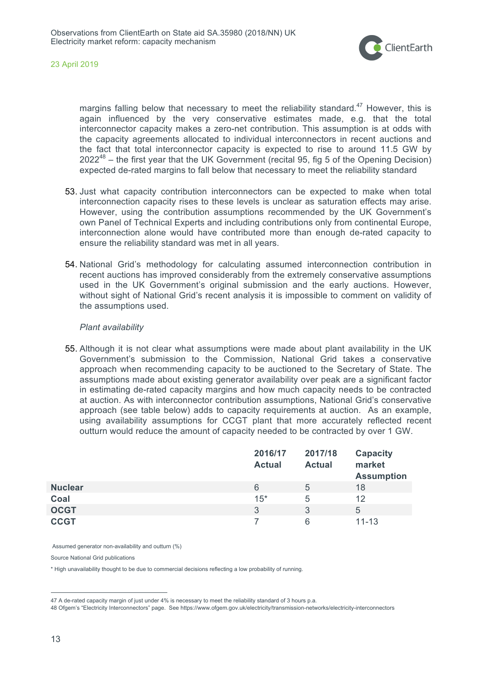

margins falling below that necessary to meet the reliability standard.<sup>47</sup> However, this is again influenced by the very conservative estimates made, e.g. that the total interconnector capacity makes a zero-net contribution. This assumption is at odds with the capacity agreements allocated to individual interconnectors in recent auctions and the fact that total interconnector capacity is expected to rise to around 11.5 GW by  $2022^{48}$  – the first year that the UK Government (recital 95, fig 5 of the Opening Decision) expected de-rated margins to fall below that necessary to meet the reliability standard

- 53. Just what capacity contribution interconnectors can be expected to make when total interconnection capacity rises to these levels is unclear as saturation effects may arise. However, using the contribution assumptions recommended by the UK Government's own Panel of Technical Experts and including contributions only from continental Europe, interconnection alone would have contributed more than enough de-rated capacity to ensure the reliability standard was met in all years.
- 54. National Grid's methodology for calculating assumed interconnection contribution in recent auctions has improved considerably from the extremely conservative assumptions used in the UK Government's original submission and the early auctions. However, without sight of National Grid's recent analysis it is impossible to comment on validity of the assumptions used.

#### *Plant availability*

55. Although it is not clear what assumptions were made about plant availability in the UK Government's submission to the Commission, National Grid takes a conservative approach when recommending capacity to be auctioned to the Secretary of State. The assumptions made about existing generator availability over peak are a significant factor in estimating de-rated capacity margins and how much capacity needs to be contracted at auction. As with interconnector contribution assumptions, National Grid's conservative approach (see table below) adds to capacity requirements at auction. As an example, using availability assumptions for CCGT plant that more accurately reflected recent outturn would reduce the amount of capacity needed to be contracted by over 1 GW.

|                | 2016/17<br><b>Actual</b> | 2017/18<br><b>Actual</b> | <b>Capacity</b><br>market<br><b>Assumption</b> |
|----------------|--------------------------|--------------------------|------------------------------------------------|
| <b>Nuclear</b> | 6                        | 5                        | 18                                             |
| Coal           | $15*$                    | 5                        | 12                                             |
| <b>OCGT</b>    | 3                        | 3                        | 5                                              |
| <b>CCGT</b>    |                          | 6                        | $11 - 13$                                      |

Assumed generator non-availability and outturn (%)

Source National Grid publications

\* High unavailability thought to be due to commercial decisions reflecting a low probability of running.

48 Ofgem's "Electricity Interconnectors" page. See https://www.ofgem.gov.uk/electricity/transmission-networks/electricity-interconnectors

 <sup>47</sup> A de-rated capacity margin of just under 4% is necessary to meet the reliability standard of 3 hours p.a.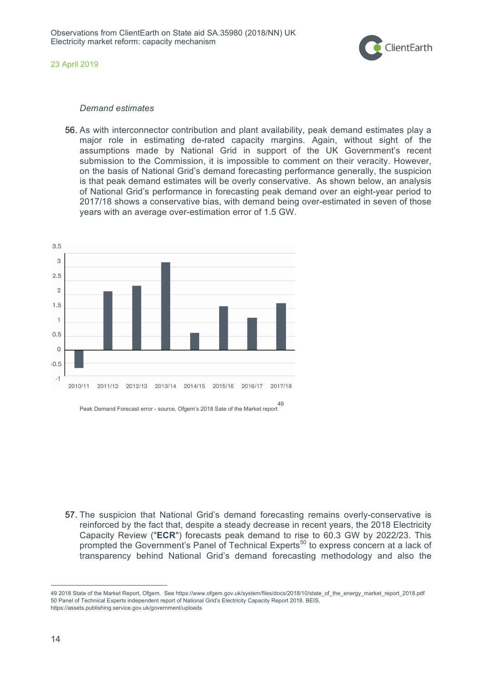

#### *Demand estimates*

56. As with interconnector contribution and plant availability, peak demand estimates play a major role in estimating de-rated capacity margins. Again, without sight of the assumptions made by National Grid in support of the UK Government's recent submission to the Commission, it is impossible to comment on their veracity. However, on the basis of National Grid's demand forecasting performance generally, the suspicion is that peak demand estimates will be overly conservative. As shown below, an analysis of National Grid's performance in forecasting peak demand over an eight-year period to 2017/18 shows a conservative bias, with demand being over-estimated in seven of those years with an average over-estimation error of 1.5 GW.



57. The suspicion that National Grid's demand forecasting remains overly-conservative is reinforced by the fact that, despite a steady decrease in recent years, the 2018 Electricity Capacity Review ("**ECR**") forecasts peak demand to rise to 60.3 GW by 2022/23. This prompted the Government's Panel of Technical Experts<sup>50</sup> to express concern at a lack of transparency behind National Grid's demand forecasting methodology and also the

 <sup>49</sup> 2018 State of the Market Report, Ofgem. See https://www.ofgem.gov.uk/system/files/docs/2018/10/state\_of\_the\_energy\_market\_report\_2018.pdf 50 Panel of Technical Experts independent report of National Grid's Electricity Capacity Report 2018. BEIS, https://assets.publishing.service.gov.uk/government/uploads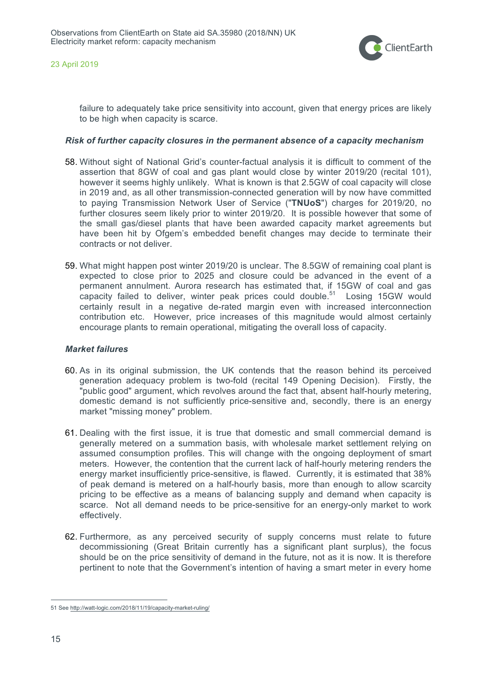

failure to adequately take price sensitivity into account, given that energy prices are likely to be high when capacity is scarce.

### *Risk of further capacity closures in the permanent absence of a capacity mechanism*

- 58. Without sight of National Grid's counter-factual analysis it is difficult to comment of the assertion that 8GW of coal and gas plant would close by winter 2019/20 (recital 101), however it seems highly unlikely. What is known is that 2.5GW of coal capacity will close in 2019 and, as all other transmission-connected generation will by now have committed to paying Transmission Network User of Service ("**TNUoS**") charges for 2019/20, no further closures seem likely prior to winter 2019/20. It is possible however that some of the small gas/diesel plants that have been awarded capacity market agreements but have been hit by Ofgem's embedded benefit changes may decide to terminate their contracts or not deliver.
- 59. What might happen post winter 2019/20 is unclear. The 8.5GW of remaining coal plant is expected to close prior to 2025 and closure could be advanced in the event of a permanent annulment. Aurora research has estimated that, if 15GW of coal and gas capacity failed to deliver, winter peak prices could double. 51 Losing 15GW would certainly result in a negative de-rated margin even with increased interconnection contribution etc. However, price increases of this magnitude would almost certainly encourage plants to remain operational, mitigating the overall loss of capacity.

### *Market failures*

- 60. As in its original submission, the UK contends that the reason behind its perceived generation adequacy problem is two-fold (recital 149 Opening Decision). Firstly, the "public good" argument, which revolves around the fact that, absent half-hourly metering, domestic demand is not sufficiently price-sensitive and, secondly, there is an energy market "missing money" problem.
- 61. Dealing with the first issue, it is true that domestic and small commercial demand is generally metered on a summation basis, with wholesale market settlement relying on assumed consumption profiles. This will change with the ongoing deployment of smart meters. However, the contention that the current lack of half-hourly metering renders the energy market insufficiently price-sensitive, is flawed. Currently, it is estimated that 38% of peak demand is metered on a half-hourly basis, more than enough to allow scarcity pricing to be effective as a means of balancing supply and demand when capacity is scarce. Not all demand needs to be price-sensitive for an energy-only market to work effectively.
- 62. Furthermore, as any perceived security of supply concerns must relate to future decommissioning (Great Britain currently has a significant plant surplus), the focus should be on the price sensitivity of demand in the future, not as it is now. It is therefore pertinent to note that the Government's intention of having a smart meter in every home

 <sup>51</sup> See http://watt-logic.com/2018/11/19/capacity-market-ruling/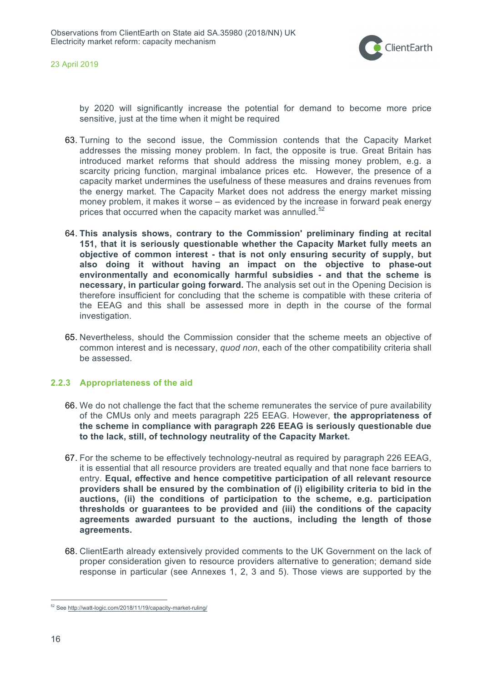

by 2020 will significantly increase the potential for demand to become more price sensitive, just at the time when it might be required

- 63. Turning to the second issue, the Commission contends that the Capacity Market addresses the missing money problem. In fact, the opposite is true. Great Britain has introduced market reforms that should address the missing money problem, e.g. a scarcity pricing function, marginal imbalance prices etc. However, the presence of a capacity market undermines the usefulness of these measures and drains revenues from the energy market. The Capacity Market does not address the energy market missing money problem, it makes it worse – as evidenced by the increase in forward peak energy prices that occurred when the capacity market was annulled.<sup>52</sup>
- 64. **This analysis shows, contrary to the Commission' preliminary finding at recital 151, that it is seriously questionable whether the Capacity Market fully meets an objective of common interest - that is not only ensuring security of supply, but also doing it without having an impact on the objective to phase-out environmentally and economically harmful subsidies - and that the scheme is necessary, in particular going forward.** The analysis set out in the Opening Decision is therefore insufficient for concluding that the scheme is compatible with these criteria of the EEAG and this shall be assessed more in depth in the course of the formal investigation.
- 65. Nevertheless, should the Commission consider that the scheme meets an objective of common interest and is necessary, *quod non*, each of the other compatibility criteria shall be assessed.

### **2.2.3 Appropriateness of the aid**

- 66. We do not challenge the fact that the scheme remunerates the service of pure availability of the CMUs only and meets paragraph 225 EEAG. However, **the appropriateness of the scheme in compliance with paragraph 226 EEAG is seriously questionable due to the lack, still, of technology neutrality of the Capacity Market.**
- 67. For the scheme to be effectively technology-neutral as required by paragraph 226 EEAG, it is essential that all resource providers are treated equally and that none face barriers to entry. **Equal, effective and hence competitive participation of all relevant resource providers shall be ensured by the combination of (i) eligibility criteria to bid in the auctions, (ii) the conditions of participation to the scheme, e.g. participation thresholds or guarantees to be provided and (iii) the conditions of the capacity agreements awarded pursuant to the auctions, including the length of those agreements.**
- 68. ClientEarth already extensively provided comments to the UK Government on the lack of proper consideration given to resource providers alternative to generation; demand side response in particular (see Annexes 1, 2, 3 and 5). Those views are supported by the

 <sup>52</sup> See http://watt-logic.com/2018/11/19/capacity-market-ruling/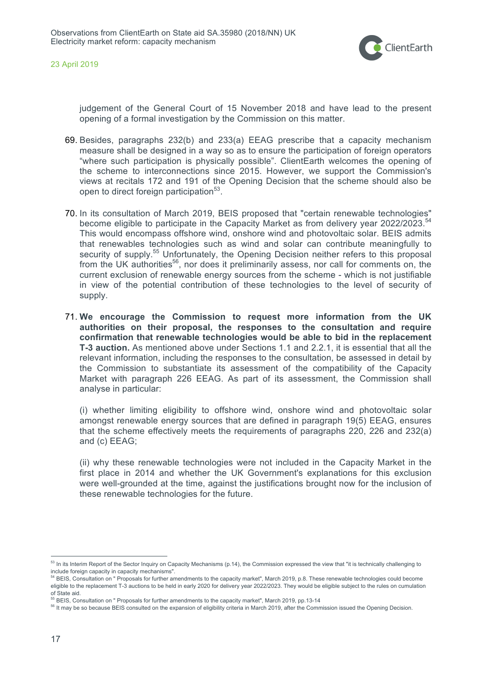

judgement of the General Court of 15 November 2018 and have lead to the present opening of a formal investigation by the Commission on this matter.

- 69. Besides, paragraphs 232(b) and 233(a) EEAG prescribe that a capacity mechanism measure shall be designed in a way so as to ensure the participation of foreign operators "where such participation is physically possible". ClientEarth welcomes the opening of the scheme to interconnections since 2015. However, we support the Commission's views at recitals 172 and 191 of the Opening Decision that the scheme should also be open to direct foreign participation<sup>53</sup>.
- 70. In its consultation of March 2019, BEIS proposed that "certain renewable technologies" become eligible to participate in the Capacity Market as from delivery year 2022/2023.<sup>54</sup> This would encompass offshore wind, onshore wind and photovoltaic solar. BEIS admits that renewables technologies such as wind and solar can contribute meaningfully to security of supply.<sup>55</sup> Unfortunately, the Opening Decision neither refers to this proposal from the UK authorities<sup>56</sup>, nor does it preliminarily assess, nor call for comments on, the current exclusion of renewable energy sources from the scheme - which is not justifiable in view of the potential contribution of these technologies to the level of security of supply.
- 71. **We encourage the Commission to request more information from the UK authorities on their proposal, the responses to the consultation and require confirmation that renewable technologies would be able to bid in the replacement T-3 auction.** As mentioned above under Sections 1.1 and 2.2.1, it is essential that all the relevant information, including the responses to the consultation, be assessed in detail by the Commission to substantiate its assessment of the compatibility of the Capacity Market with paragraph 226 EEAG. As part of its assessment, the Commission shall analyse in particular:

(i) whether limiting eligibility to offshore wind, onshore wind and photovoltaic solar amongst renewable energy sources that are defined in paragraph 19(5) EEAG, ensures that the scheme effectively meets the requirements of paragraphs 220, 226 and 232(a) and (c) EEAG;

(ii) why these renewable technologies were not included in the Capacity Market in the first place in 2014 and whether the UK Government's explanations for this exclusion were well-grounded at the time, against the justifications brought now for the inclusion of these renewable technologies for the future.

<sup>&</sup>lt;sup>53</sup> In its Interim Report of the Sector Inquiry on Capacity Mechanisms (p.14), the Commission expressed the view that "it is technically challenging to include foreign capacity in capacity mechanisms".

<sup>&</sup>lt;sup>54</sup> BEIS, Consultation on " Proposals for further amendments to the capacity market", March 2019, p.8. These renewable technologies could become eligible to the replacement T-3 auctions to be held in early 2020 for delivery year 2022/2023. They would be eligible subject to the rules on cumulation

of State aid.<br><sup>55</sup> BEIS, Consultation on " Proposals for further amendments to the capacity market", March 2019, pp.13-14

<sup>56</sup> It may be so because BEIS consulted on the expansion of eligibility criteria in March 2019, after the Commission issued the Opening Decision.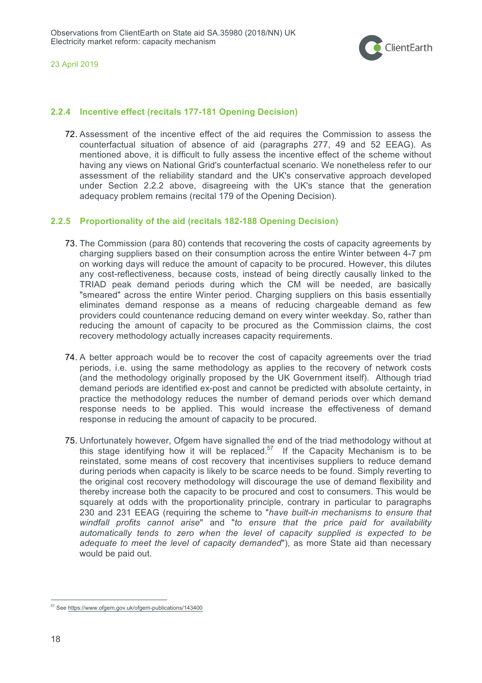

## **2.2.4 Incentive effect (recitals 177-181 Opening Decision)**

72. Assessment of the incentive effect of the aid requires the Commission to assess the counterfactual situation of absence of aid (paragraphs 277, 49 and 52 EEAG). As mentioned above, it is difficult to fully assess the incentive effect of the scheme without having any views on National Grid's counterfactual scenario. We nonetheless refer to our assessment of the reliability standard and the UK's conservative approach developed under Section 2.2.2 above, disagreeing with the UK's stance that the generation adequacy problem remains (recital 179 of the Opening Decision).

## **2.2.5 Proportionality of the aid (recitals 182-188 Opening Decision)**

- 73. The Commission (para 80) contends that recovering the costs of capacity agreements by charging suppliers based on their consumption across the entire Winter between 4-7 pm on working days will reduce the amount of capacity to be procured. However, this dilutes any cost-reflectiveness, because costs, instead of being directly causally linked to the TRIAD peak demand periods during which the CM will be needed, are basically "smeared" across the entire Winter period. Charging suppliers on this basis essentially eliminates demand response as a means of reducing chargeable demand as few providers could countenance reducing demand on every winter weekday. So, rather than reducing the amount of capacity to be procured as the Commission claims, the cost recovery methodology actually increases capacity requirements.
- 74. A better approach would be to recover the cost of capacity agreements over the triad periods, i.e. using the same methodology as applies to the recovery of network costs (and the methodology originally proposed by the UK Government itself). Although triad demand periods are identified ex-post and cannot be predicted with absolute certainty, in practice the methodology reduces the number of demand periods over which demand response needs to be applied. This would increase the effectiveness of demand response in reducing the amount of capacity to be procured.
- 75. Unfortunately however, Ofgem have signalled the end of the triad methodology without at this stage identifying how it will be replaced.<sup>57</sup> If the Capacity Mechanism is to be reinstated, some means of cost recovery that incentivises suppliers to reduce demand during periods when capacity is likely to be scarce needs to be found. Simply reverting to the original cost recovery methodology will discourage the use of demand flexibility and thereby increase both the capacity to be procured and cost to consumers. This would be squarely at odds with the proportionality principle, contrary in particular to paragraphs 230 and 231 EEAG (requiring the scheme to "*have built-in mechanisms to ensure that windfall profits cannot arise*" and "*to ensure that the price paid for availability automatically tends to zero when the level of capacity supplied is expected to be adequate to meet the level of capacity demanded*"), as more State aid than necessary would be paid out.

 <sup>57</sup> See https://www.ofgem.gov.uk/ofgem-publications/143400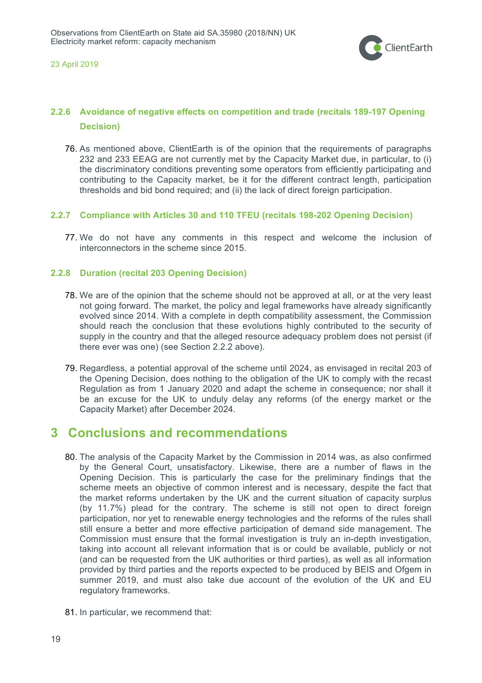

## **2.2.6 Avoidance of negative effects on competition and trade (recitals 189-197 Opening Decision)**

76. As mentioned above, ClientEarth is of the opinion that the requirements of paragraphs 232 and 233 EEAG are not currently met by the Capacity Market due, in particular, to (i) the discriminatory conditions preventing some operators from efficiently participating and contributing to the Capacity market, be it for the different contract length, participation thresholds and bid bond required; and (ii) the lack of direct foreign participation.

## **2.2.7 Compliance with Articles 30 and 110 TFEU (recitals 198-202 Opening Decision)**

77. We do not have any comments in this respect and welcome the inclusion of interconnectors in the scheme since 2015.

## **2.2.8 Duration (recital 203 Opening Decision)**

- 78. We are of the opinion that the scheme should not be approved at all, or at the very least not going forward. The market, the policy and legal frameworks have already significantly evolved since 2014. With a complete in depth compatibility assessment, the Commission should reach the conclusion that these evolutions highly contributed to the security of supply in the country and that the alleged resource adequacy problem does not persist (if there ever was one) (see Section 2.2.2 above).
- 79. Regardless, a potential approval of the scheme until 2024, as envisaged in recital 203 of the Opening Decision, does nothing to the obligation of the UK to comply with the recast Regulation as from 1 January 2020 and adapt the scheme in consequence; nor shall it be an excuse for the UK to unduly delay any reforms (of the energy market or the Capacity Market) after December 2024.

# **3 Conclusions and recommendations**

- 80. The analysis of the Capacity Market by the Commission in 2014 was, as also confirmed by the General Court, unsatisfactory. Likewise, there are a number of flaws in the Opening Decision. This is particularly the case for the preliminary findings that the scheme meets an objective of common interest and is necessary, despite the fact that the market reforms undertaken by the UK and the current situation of capacity surplus (by 11.7%) plead for the contrary. The scheme is still not open to direct foreign participation, nor yet to renewable energy technologies and the reforms of the rules shall still ensure a better and more effective participation of demand side management. The Commission must ensure that the formal investigation is truly an in-depth investigation, taking into account all relevant information that is or could be available, publicly or not (and can be requested from the UK authorities or third parties), as well as all information provided by third parties and the reports expected to be produced by BEIS and Ofgem in summer 2019, and must also take due account of the evolution of the UK and EU regulatory frameworks.
- 81. In particular, we recommend that: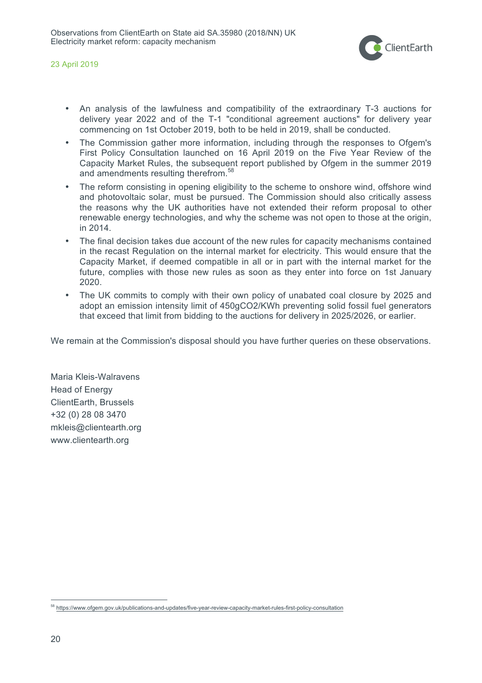

- An analysis of the lawfulness and compatibility of the extraordinary T-3 auctions for delivery year 2022 and of the T-1 "conditional agreement auctions" for delivery year commencing on 1st October 2019, both to be held in 2019, shall be conducted.
- The Commission gather more information, including through the responses to Ofgem's First Policy Consultation launched on 16 April 2019 on the Five Year Review of the Capacity Market Rules, the subsequent report published by Ofgem in the summer 2019 and amendments resulting therefrom.<sup>58</sup>
- The reform consisting in opening eligibility to the scheme to onshore wind, offshore wind and photovoltaic solar, must be pursued. The Commission should also critically assess the reasons why the UK authorities have not extended their reform proposal to other renewable energy technologies, and why the scheme was not open to those at the origin, in 2014.
- The final decision takes due account of the new rules for capacity mechanisms contained in the recast Regulation on the internal market for electricity. This would ensure that the Capacity Market, if deemed compatible in all or in part with the internal market for the future, complies with those new rules as soon as they enter into force on 1st January 2020.
- The UK commits to comply with their own policy of unabated coal closure by 2025 and adopt an emission intensity limit of 450gCO2/KWh preventing solid fossil fuel generators that exceed that limit from bidding to the auctions for delivery in 2025/2026, or earlier.

We remain at the Commission's disposal should you have further queries on these observations.

Maria Kleis-Walravens Head of Energy ClientEarth, Brussels +32 (0) 28 08 3470 mkleis@clientearth.org www.clientearth.org

 <sup>58</sup> https://www.ofgem.gov.uk/publications-and-updates/five-year-review-capacity-market-rules-first-policy-consultation